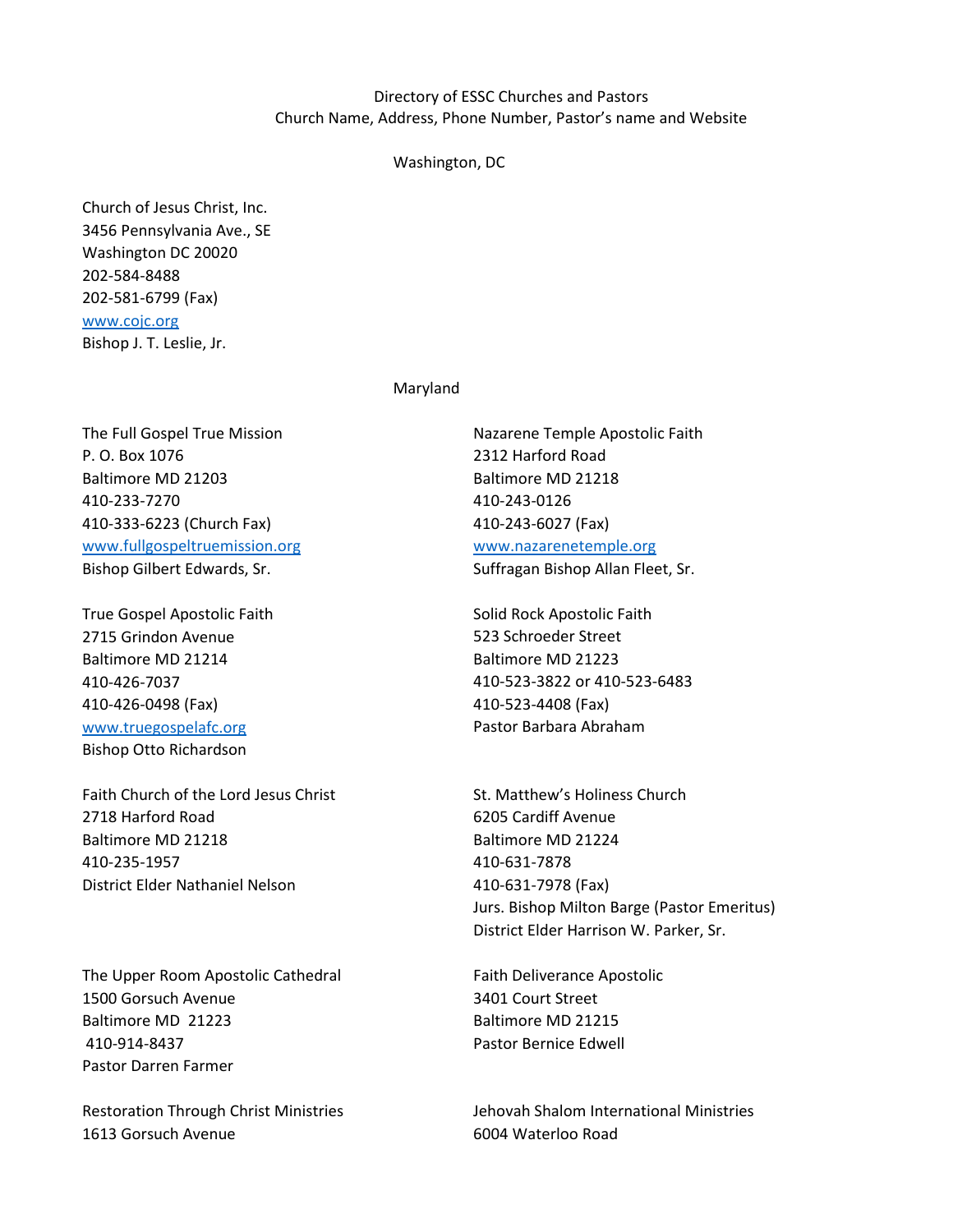# Directory of ESSC Churches and Pastors Church Name, Address, Phone Number, Pastor's name and Website

## Washington, DC

Church of Jesus Christ, Inc. 3456 Pennsylvania Ave., SE Washington DC 20020 202-584-8488 202-581-6799 (Fax) [www.cojc.org](http://www.cojc.org/) Bishop J. T. Leslie, Jr.

## Maryland

The Full Gospel True Mission Nazarene Temple Apostolic Faith P. O. Box 1076 2312 Harford Road Baltimore MD 21203 Baltimore MD 21218 410-233-7270 410-243-0126 410-333-6223 (Church Fax) 410-243-6027 (Fax) [www.fullgospeltruemission.org](http://www.fullgospeltruemission.org/) [www.nazarenetemple.org](http://www.nazarenetemple.org/)

True Gospel Apostolic Faith Solid Rock Apostolic Faith 2715 Grindon Avenue 523 Schroeder Street Baltimore MD 21214 Baltimore MD 21223 410-426-0498 (Fax) 410-523-4408 (Fax) [www.truegospelafc.org](http://www.truegospelafc.org/) extending the Pastor Barbara Abraham Bishop Otto Richardson

Faith Church of the Lord Jesus Christ St. Matthew's Holiness Church 2718 Harford Road 6205 Cardiff Avenue Baltimore MD 21218 Baltimore MD 21224 410-235-1957 410-631-7878 District Elder Nathaniel Nelson 410-631-7978 (Fax)

The Upper Room Apostolic Cathedral Faith Deliverance Apostolic 1500 Gorsuch Avenue 3401 Court Street Baltimore MD 21223 Baltimore MD 21215 410-914-8437 Pastor Bernice Edwell Pastor Darren Farmer

1613 Gorsuch Avenue 6004 Waterloo Road

Bishop Gilbert Edwards, Sr. Suffragan Bishop Allan Fleet, Sr.

410-426-7037 410-523-3822 or 410-523-6483

Jurs. Bishop Milton Barge (Pastor Emeritus) District Elder Harrison W. Parker, Sr.

Restoration Through Christ Ministries Jehovah Shalom International Ministries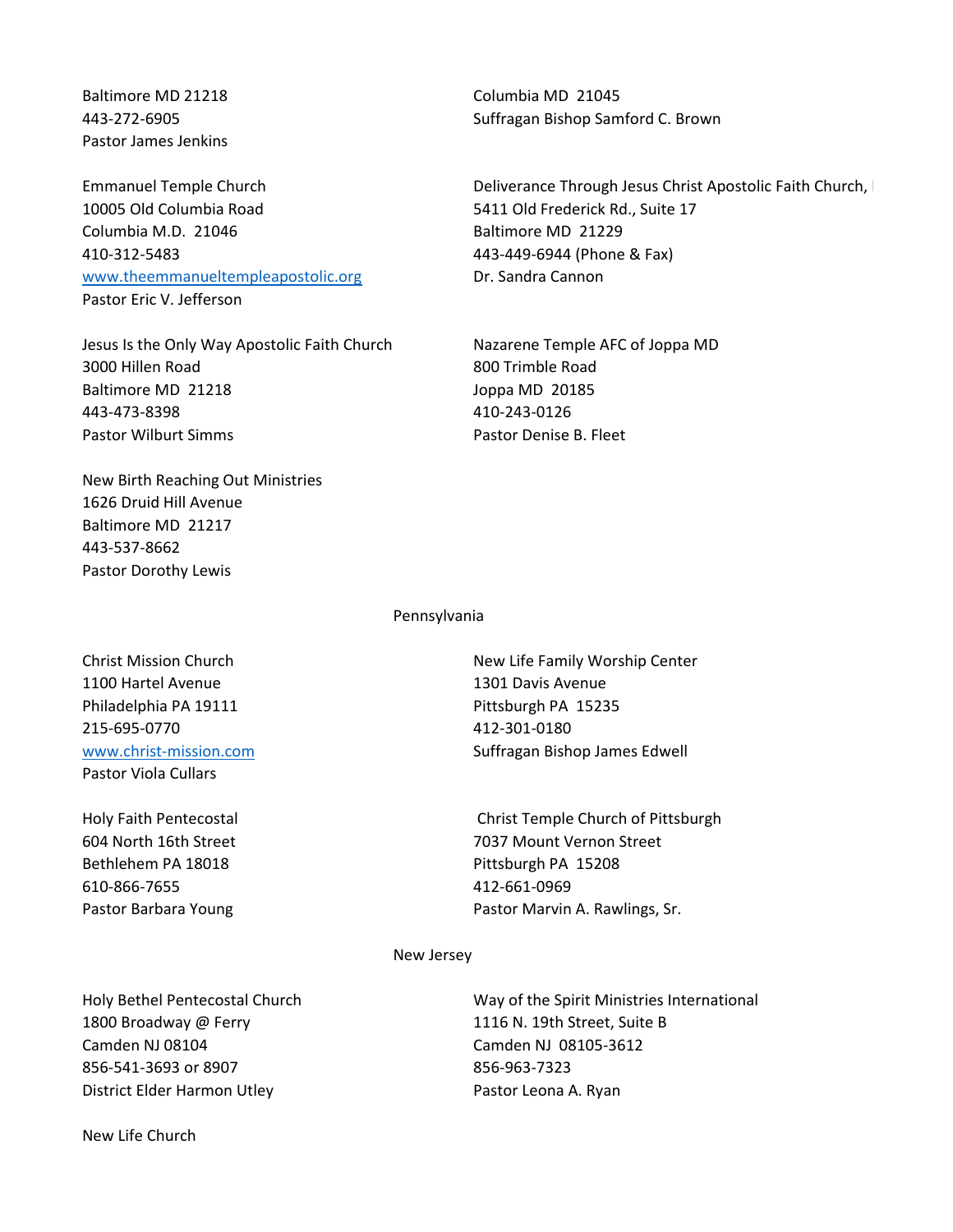Pastor James Jenkins

10005 Old Columbia Road 5411 Old Frederick Rd., Suite 17 Columbia M.D. 21046 Baltimore MD 21229 410-312-5483 443-449-6944 (Phone & Fax) [www.theemmanueltempleapostolic.org](http://www.theemmanueltempleapostolic.org/) Dr. Sandra Cannon Pastor Eric V. Jefferson

Jesus Is the Only Way Apostolic Faith Church Nazarene Temple AFC of Joppa MD 3000 Hillen Road 800 Trimble Road Baltimore MD 21218 Joppa MD 20185 443-473-8398 410-243-0126 Pastor Wilburt Simms **Pastor Denise B. Fleet** Pastor Denise B. Fleet

New Birth Reaching Out Ministries 1626 Druid Hill Avenue Baltimore MD 21217 443-537-8662 Pastor Dorothy Lewis

Baltimore MD 21218 Columbia MD 21045 443-272-6905 Suffragan Bishop Samford C. Brown

Emmanuel Temple Church **Deliverance Through Jesus Christ Apostolic Faith Church**, Inc. and The Deliverance Through Jesus Christ Apostolic Faith Church, Inc.

Pennsylvania

1100 Hartel Avenue 1301 Davis Avenue Philadelphia PA 19111 **Philadelphia PA 15235** 215-695-0770 412-301-0180 Pastor Viola Cullars

Bethlehem PA 18018 **Pittsburgh PA 15208** 610-866-7655 412-661-0969

Christ Mission Church New Life Family Worship Center [www.christ-mission.com](http://www.christ-mission.com/) Suffragan Bishop James Edwell

Holy Faith Pentecostal Christ Temple Church of Pittsburgh 604 North 16th Street 7037 Mount Vernon Street Pastor Barbara Young **Pastor Marvin A. Rawlings, Sr.** Pastor Marvin A. Rawlings, Sr.

#### New Jersey

1800 Broadway @ Ferry 1116 N. 19th Street, Suite B Camden NJ 08104 Camden NJ 08105-3612 856-541-3693 or 8907 856-963-7323 District Elder Harmon Utley **Pastor Leona A. Ryan** 

Holy Bethel Pentecostal Church Way of the Spirit Ministries International

New Life Church